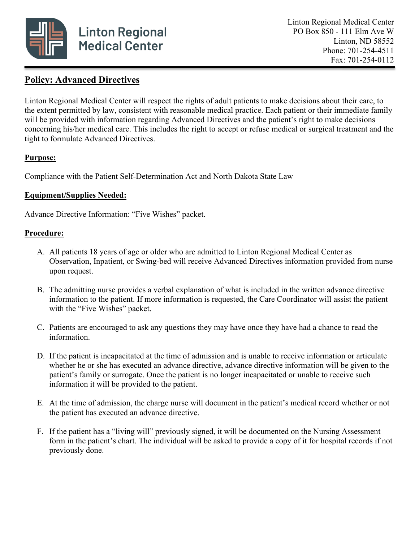

## **Policy: Advanced Directives**

Linton Regional Medical Center will respect the rights of adult patients to make decisions about their care, to the extent permitted by law, consistent with reasonable medical practice. Each patient or their immediate family will be provided with information regarding Advanced Directives and the patient's right to make decisions concerning his/her medical care. This includes the right to accept or refuse medical or surgical treatment and the tight to formulate Advanced Directives.

## **Purpose:**

Compliance with the Patient Self-Determination Act and North Dakota State Law

## **Equipment/Supplies Needed:**

Advance Directive Information: "Five Wishes" packet.

## **Procedure:**

- A. All patients 18 years of age or older who are admitted to Linton Regional Medical Center as Observation, Inpatient, or Swing-bed will receive Advanced Directives information provided from nurse upon request.
- B. The admitting nurse provides a verbal explanation of what is included in the written advance directive information to the patient. If more information is requested, the Care Coordinator will assist the patient with the "Five Wishes" packet.
- C. Patients are encouraged to ask any questions they may have once they have had a chance to read the information.
- D. If the patient is incapacitated at the time of admission and is unable to receive information or articulate whether he or she has executed an advance directive, advance directive information will be given to the patient's family or surrogate. Once the patient is no longer incapacitated or unable to receive such information it will be provided to the patient.
- E. At the time of admission, the charge nurse will document in the patient's medical record whether or not the patient has executed an advance directive.
- F. If the patient has a "living will" previously signed, it will be documented on the Nursing Assessment form in the patient's chart. The individual will be asked to provide a copy of it for hospital records if not previously done.